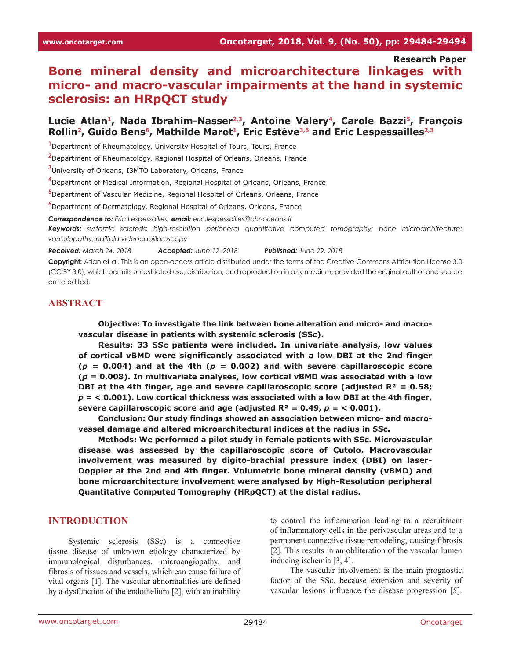**Research Paper**

# **Bone mineral density and microarchitecture linkages with micro- and macro-vascular impairments at the hand in systemic sclerosis: an HRpQCT study**

## Lucie Atlan<sup>1</sup>, Nada Ibrahim-Nasser<sup>2,3</sup>, Antoine Valery<sup>4</sup>, Carole Bazzi<sup>5</sup>, François Rollin<sup>2</sup>, Guido Bens<sup>6</sup>, Mathilde Marot<sup>1</sup>, Eric Estève<sup>3,6</sup> and Eric Lespessailles<sup>2,3</sup>

**1** Department of Rheumatology, University Hospital of Tours, Tours, France

**2** Department of Rheumatology, Regional Hospital of Orleans, Orleans, France

**3** University of Orleans, I3MTO Laboratory, Orleans, France

**4** Department of Medical Information, Regional Hospital of Orleans, Orleans, France

**5** Department of Vascular Medicine, Regional Hospital of Orleans, Orleans, France

**6** Department of Dermatology, Regional Hospital of Orleans, Orleans, France

*Correspondence to: Eric Lespessailles, email: eric.lespessailles@chr-orleans.fr*

*Keywords: systemic sclerosis; high-resolution peripheral quantitative computed tomography; bone microarchitecture; vasculopathy; nailfold videocapillaroscopy*

*Received: March 24, 2018 Accepted: June 12, 2018 Published: June 29, 2018*

**Copyright:** Atlan et al. This is an open-access article distributed under the terms of the Creative Commons Attribution License 3.0 (CC BY 3.0), which permits unrestricted use, distribution, and reproduction in any medium, provided the original author and source are credited.

## **ABSTRACT**

**Objective: To investigate the link between bone alteration and micro- and macrovascular disease in patients with systemic sclerosis (SSc).**

**Results: 33 SSc patients were included. In univariate analysis, low values of cortical vBMD were significantly associated with a low DBI at the 2nd finger**   $(p = 0.004)$  and at the 4th  $(p = 0.002)$  and with severe capillaroscopic score **(***p* **= 0.008). In multivariate analyses, low cortical vBMD was associated with a low DBI at the 4th finger, age and severe capillaroscopic score (adjusted R² = 0.58;**  *p* **= < 0.001). Low cortical thickness was associated with a low DBI at the 4th finger,**  severe capillaroscopic score and age (adjusted  $R^2 = 0.49$ ,  $p = 0.001$ ).

**Conclusion: Our study findings showed an association between micro- and macrovessel damage and altered microarchitectural indices at the radius in SSc.**

**Methods: We performed a pilot study in female patients with SSc. Microvascular disease was assessed by the capillaroscopic score of Cutolo. Macrovascular involvement was measured by digito-brachial pressure index (DBI) on laser-Doppler at the 2nd and 4th finger. Volumetric bone mineral density (vBMD) and bone microarchitecture involvement were analysed by High-Resolution peripheral Quantitative Computed Tomography (HRpQCT) at the distal radius.** 

#### **INTRODUCTION**

Systemic sclerosis (SSc) is a connective tissue disease of unknown etiology characterized by immunological disturbances, microangiopathy, and fibrosis of tissues and vessels, which can cause failure of vital organs [1]. The vascular abnormalities are defined by a dysfunction of the endothelium [2], with an inability

to control the inflammation leading to a recruitment of inflammatory cells in the perivascular areas and to a permanent connective tissue remodeling, causing fibrosis [2]. This results in an obliteration of the vascular lumen inducing ischemia [3, 4].

The vascular involvement is the main prognostic factor of the SSc, because extension and severity of vascular lesions influence the disease progression [5].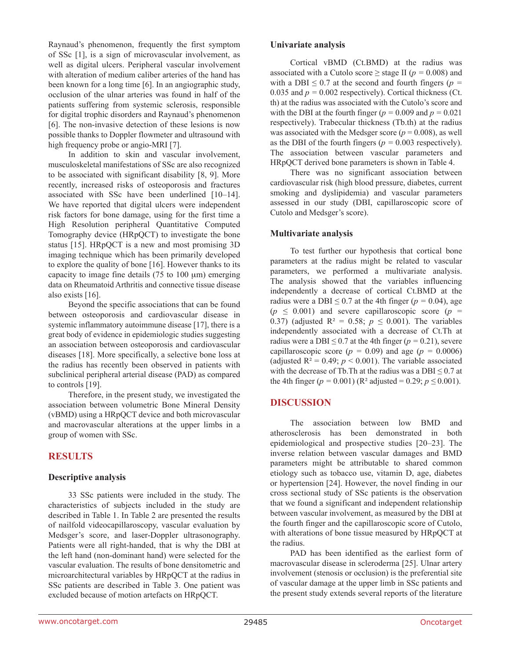Raynaud's phenomenon, frequently the first symptom of SSc [1], is a sign of microvascular involvement, as well as digital ulcers. Peripheral vascular involvement with alteration of medium caliber arteries of the hand has been known for a long time [6]. In an angiographic study, occlusion of the ulnar arteries was found in half of the patients suffering from systemic sclerosis, responsible for digital trophic disorders and Raynaud's phenomenon [6]. The non-invasive detection of these lesions is now possible thanks to Doppler flowmeter and ultrasound with high frequency probe or angio-MRI [7].

In addition to skin and vascular involvement, musculoskeletal manifestations of SSc are also recognized to be associated with significant disability [8, 9]. More recently, increased risks of osteoporosis and fractures associated with SSc have been underlined [10–14]. We have reported that digital ulcers were independent risk factors for bone damage, using for the first time a High Resolution peripheral Quantitative Computed Tomography device (HRpQCT) to investigate the bone status [15]. HRpQCT is a new and most promising 3D imaging technique which has been primarily developed to explore the quality of bone [16]. However thanks to its capacity to image fine details  $(75 \text{ to } 100 \text{ µm})$  emerging data on Rheumatoid Arthritis and connective tissue disease also exists [16].

Beyond the specific associations that can be found between osteoporosis and cardiovascular disease in systemic inflammatory autoimmune disease [17], there is a great body of evidence in epidemiologic studies suggesting an association between osteoporosis and cardiovascular diseases [18]. More specifically, a selective bone loss at the radius has recently been observed in patients with subclinical peripheral arterial disease (PAD) as compared to controls [19].

Therefore, in the present study, we investigated the association between volumetric Bone Mineral Density (vBMD) using a HRpQCT device and both microvascular and macrovascular alterations at the upper limbs in a group of women with SSc.

# **RESULTS**

## **Descriptive analysis**

33 SSc patients were included in the study. The characteristics of subjects included in the study are described in Table 1. In Table 2 are presented the results of nailfold videocapillaroscopy, vascular evaluation by Medsger's score, and laser-Doppler ultrasonography. Patients were all right-handed, that is why the DBI at the left hand (non-dominant hand) were selected for the vascular evaluation. The results of bone densitometric and microarchitectural variables by HRpQCT at the radius in SSc patients are described in Table 3. One patient was excluded because of motion artefacts on HRpQCT.

#### **Univariate analysis**

Cortical vBMD (Ct.BMD) at the radius was associated with a Cutolo score  $\geq$  stage II ( $p = 0.008$ ) and with a DBI  $\leq$  0.7 at the second and fourth fingers ( $p =$ 0.035 and  $p = 0.002$  respectively). Cortical thickness (Ct. th) at the radius was associated with the Cutolo's score and with the DBI at the fourth finger ( $p = 0.009$  and  $p = 0.021$ respectively). Trabecular thickness (Tb.th) at the radius was associated with the Medsger score  $(p = 0.008)$ , as well as the DBI of the fourth fingers ( $p = 0.003$  respectively). The association between vascular parameters and HRpQCT derived bone parameters is shown in Table 4.

There was no significant association between cardiovascular risk (high blood pressure, diabetes, current smoking and dyslipidemia) and vascular parameters assessed in our study (DBI, capillaroscopic score of Cutolo and Medsger's score).

## **Multivariate analysis**

To test further our hypothesis that cortical bone parameters at the radius might be related to vascular parameters, we performed a multivariate analysis. The analysis showed that the variables influencing independently a decrease of cortical Ct.BMD at the radius were a DBI  $\leq$  0.7 at the 4th finger ( $p = 0.04$ ), age  $(p \leq 0.001)$  and severe capillaroscopic score  $(p =$ 0.37) (adjusted  $R^2 = 0.58$ ;  $p \le 0.001$ ). The variables independently associated with a decrease of Ct.Th at radius were a DBI  $\leq$  0.7 at the 4th finger ( $p = 0.21$ ), severe capillaroscopic score ( $p = 0.09$ ) and age ( $p = 0.0006$ ) (adjusted  $R^2 = 0.49$ ;  $p < 0.001$ ). The variable associated with the decrease of Tb. Th at the radius was a DBI  $\leq 0.7$  at the 4th finger ( $p = 0.001$ ) ( $R^2$  adjusted = 0.29;  $p \le 0.001$ ).

## **DISCUSSION**

The association between low BMD and atherosclerosis has been demonstrated in both epidemiological and prospective studies [20–23]. The inverse relation between vascular damages and BMD parameters might be attributable to shared common etiology such as tobacco use, vitamin D, age, diabetes or hypertension [24]. However, the novel finding in our cross sectional study of SSc patients is the observation that we found a significant and independent relationship between vascular involvement, as measured by the DBI at the fourth finger and the capillaroscopic score of Cutolo, with alterations of bone tissue measured by HRpOCT at the radius.

PAD has been identified as the earliest form of macrovascular disease in scleroderma [25]. Ulnar artery involvement (stenosis or occlusion) is the preferential site of vascular damage at the upper limb in SSc patients and the present study extends several reports of the literature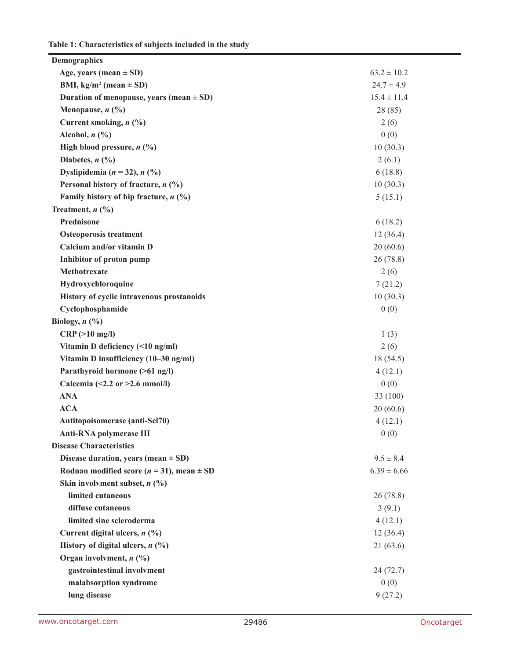**Table 1: Characteristics of subjects included in the study**

| <b>Demographics</b>                               |                 |
|---------------------------------------------------|-----------------|
| Age, years (mean $\pm$ SD)                        | $63.2 \pm 10.2$ |
| BMI, $kg/m^2$ (mean $\pm$ SD)                     | $24.7 \pm 4.9$  |
| Duration of menopause, years (mean $\pm$ SD)      | $15.4 \pm 11.4$ |
| Menopause, $n$ (%)                                | 28 (85)         |
| Current smoking, $n$ (%)                          | 2(6)            |
| Alcohol, $n$ $\left(\frac{0}{0}\right)$           | 0(0)            |
| High blood pressure, $n$ (%)                      | 10(30.3)        |
| Diabetes, $n$ (%)                                 | 2(6.1)          |
| Dyslipidemia ( $n = 32$ ), $n$ (%)                | 6(18.8)         |
| Personal history of fracture, $n$ (%)             | 10(30.3)        |
| Family history of hip fracture, $n$ (%)           | 5(15.1)         |
| Treatment, $n$ (%)                                |                 |
| Prednisone                                        | 6(18.2)         |
| <b>Osteoporosis treatment</b>                     | 12(36.4)        |
| Calcium and/or vitamin D                          | 20(60.6)        |
| Inhibitor of proton pump                          | 26(78.8)        |
| Methotrexate                                      | 2(6)            |
| Hydroxychloroquine                                | 7(21.2)         |
| History of cyclic intravenous prostanoids         | 10(30.3)        |
| Cyclophosphamide                                  | 0(0)            |
| Biology, $n$ (%)                                  |                 |
| CRP(>10 mg/l)                                     | 1(3)            |
| Vitamin D deficiency (<10 ng/ml)                  | 2(6)            |
| Vitamin D insufficiency (10-30 ng/ml)             | 18 (54.5)       |
| Parathyroid hormone (>61 ng/l)                    | 4(12.1)         |
| Calcemia (<2.2 or >2.6 mmol/l)                    | 0(0)            |
| <b>ANA</b>                                        | 33 (100)        |
| <b>ACA</b>                                        | 20(60.6)        |
| Antitopoisomerase (anti-Scl70)                    | 4(12.1)         |
| <b>Anti-RNA polymerase III</b>                    | 0(0)            |
| <b>Disease Characteristics</b>                    |                 |
| Disease duration, years (mean $\pm$ SD)           | $9.5 \pm 8.4$   |
| Rodnan modified score ( $n = 31$ ), mean $\pm$ SD | $6.39 \pm 6.66$ |
| Skin involvment subset, $n$ (%)                   |                 |
| limited cutaneous                                 | 26(78.8)        |
| diffuse cutaneous                                 | 3(9.1)          |
| limited sine scleroderma                          | 4(12.1)         |
| Current digital ulcers, $n$ (%)                   | 12(36.4)        |
| History of digital ulcers, $n$ (%)                | 21(63.6)        |
| Organ involvment, $n$ (%)                         |                 |
| gastrointestinal involvment                       | 24 (72.7)       |
| malabsorption syndrome                            | 0(0)            |
| lung disease                                      | 9(27.2)         |
|                                                   |                 |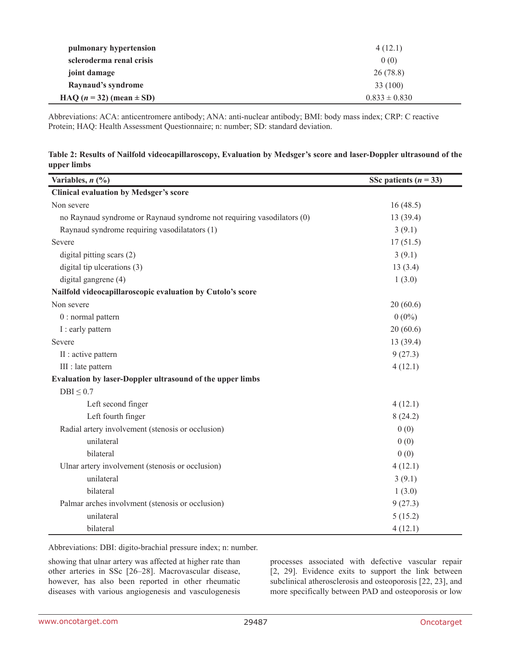| pulmonary hypertension         | 4(12.1)           |
|--------------------------------|-------------------|
| scleroderma renal crisis       | 0(0)              |
| joint damage                   | 26(78.8)          |
| Raynaud's syndrome             | 33 (100)          |
| HAQ $(n = 32)$ (mean $\pm$ SD) | $0.833 \pm 0.830$ |

Abbreviations: ACA: anticentromere antibody; ANA: anti-nuclear antibody; BMI: body mass index; CRP: C reactive Protein; HAQ: Health Assessment Questionnaire; n: number; SD: standard deviation.

| Table 2: Results of Nailfold videocapillaroscopy, Evaluation by Medsger's score and laser-Doppler ultrasound of the |  |  |
|---------------------------------------------------------------------------------------------------------------------|--|--|
| upper limbs                                                                                                         |  |  |

| Variables, $n$ (%)                                                     | SSc patients $(n = 33)$ |
|------------------------------------------------------------------------|-------------------------|
| <b>Clinical evaluation by Medsger's score</b>                          |                         |
| Non severe                                                             | 16(48.5)                |
| no Raynaud syndrome or Raynaud syndrome not requiring vasodilators (0) | 13(39.4)                |
| Raynaud syndrome requiring vasodilatators (1)                          | 3(9.1)                  |
| Severe                                                                 | 17(51.5)                |
| digital pitting scars (2)                                              | 3(9.1)                  |
| digital tip ulcerations (3)                                            | 13(3.4)                 |
| digital gangrene (4)                                                   | 1(3.0)                  |
| Nailfold videocapillaroscopic evaluation by Cutolo's score             |                         |
| Non severe                                                             | 20(60.6)                |
| $0:$ normal pattern                                                    | $0(0\%)$                |
| I: early pattern                                                       | 20(60.6)                |
| Severe                                                                 | 13(39.4)                |
| II : active pattern                                                    | 9(27.3)                 |
| III : late pattern                                                     | 4(12.1)                 |
| Evaluation by laser-Doppler ultrasound of the upper limbs              |                         |
| $DBI \leq 0.7$                                                         |                         |
| Left second finger                                                     | 4(12.1)                 |
| Left fourth finger                                                     | 8(24.2)                 |
| Radial artery involvement (stenosis or occlusion)                      | 0(0)                    |
| unilateral                                                             | 0(0)                    |
| bilateral                                                              | 0(0)                    |
| Ulnar artery involvement (stenosis or occlusion)                       | 4(12.1)                 |
| unilateral                                                             | 3(9.1)                  |
| bilateral                                                              | 1(3.0)                  |
| Palmar arches involvment (stenosis or occlusion)                       | 9(27.3)                 |
| unilateral                                                             | 5(15.2)                 |
| bilateral                                                              | 4(12.1)                 |

Abbreviations: DBI: digito-brachial pressure index; n: number.

showing that ulnar artery was affected at higher rate than other arteries in SSc [26–28]. Macrovascular disease, however, has also been reported in other rheumatic diseases with various angiogenesis and vasculogenesis processes associated with defective vascular repair [2, 29]. Evidence exits to support the link between subclinical atherosclerosis and osteoporosis [22, 23], and more specifically between PAD and osteoporosis or low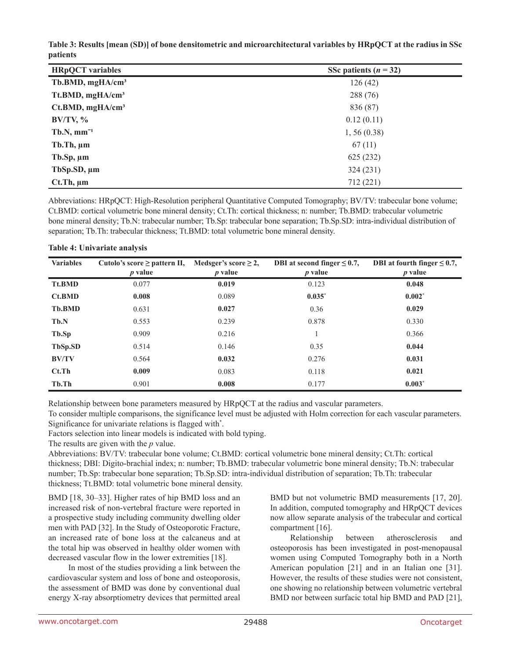| Table 3: Results [mean (SD)] of bone densitometric and microarchitectural variables by HRpQCT at the radius in SSc |  |
|--------------------------------------------------------------------------------------------------------------------|--|
| <i>patients</i>                                                                                                    |  |

| <b>HRpQCT</b> variables      | SSc patients $(n = 32)$ |
|------------------------------|-------------------------|
| Tb.BMD, mgHA/cm <sup>3</sup> | 126(42)                 |
| Tt.BMD, mgHA/cm <sup>3</sup> | 288 (76)                |
| Ct.BMD, mgHA/cm <sup>3</sup> | 836 (87)                |
| $BV/TV, \%$                  | 0.12(0.11)              |
| $Tb.N, mm^{-1}$              | 1, 56(0.38)             |
| $Tb$ . Th, $\mu$ m           | 67(11)                  |
| $Tb$ .Sp, $\mu$ m            | 625 (232)               |
| TbSp.SD, $\mu$ m             | 324 (231)               |
| $Ct$ . Th, $\mu$ m           | 712 (221)               |

Abbreviations: HRpQCT: High-Resolution peripheral Quantitative Computed Tomography; BV/TV: trabecular bone volume; Ct.BMD: cortical volumetric bone mineral density; Ct.Th: cortical thickness; n: number; Tb.BMD: trabecular volumetric bone mineral density; Tb.N: trabecular number; Tb.Sp: trabecular bone separation; Tb.Sp.SD: intra-individual distribution of separation; Tb.Th: trabecular thickness; Tt.BMD: total volumetric bone mineral density.

| Table 4: Univariate analysis |  |
|------------------------------|--|
|                              |  |

| <b>Variables</b> | Cutolo's score $\geq$ pattern II,<br>$p$ value | Medsger's score $\geq 2$ ,<br>$p$ value | DBI at second finger $\leq 0.7$ ,<br>$p$ value | DBI at fourth finger $\leq 0.7$ ,<br>$p$ value |
|------------------|------------------------------------------------|-----------------------------------------|------------------------------------------------|------------------------------------------------|
| <b>Tt.BMD</b>    | 0.077                                          | 0.019                                   | 0.123                                          | 0.048                                          |
| Ct.BMD           | 0.008                                          | 0.089                                   | $0.035^*$                                      | $0.002^*$                                      |
| <b>Tb.BMD</b>    | 0.631                                          | 0.027                                   | 0.36                                           | 0.029                                          |
| Tb.N             | 0.553                                          | 0.239                                   | 0.878                                          | 0.330                                          |
| Tb.Sp            | 0.909                                          | 0.216                                   |                                                | 0.366                                          |
| TbSp.SD          | 0.514                                          | 0.146                                   | 0.35                                           | 0.044                                          |
| <b>BV/TV</b>     | 0.564                                          | 0.032                                   | 0.276                                          | 0.031                                          |
| $Ct$ . Th        | 0.009                                          | 0.083                                   | 0.118                                          | 0.021                                          |
| Tb.Th            | 0.901                                          | 0.008                                   | 0.177                                          | $0.003*$                                       |

Relationship between bone parameters measured by HRpQCT at the radius and vascular parameters.

To consider multiple comparisons, the significance level must be adjusted with Holm correction for each vascular parameters. Significance for univariate relations is flagged with\* .

Factors selection into linear models is indicated with bold typing.

The results are given with the *p* value.

Abbreviations: BV/TV: trabecular bone volume; Ct.BMD: cortical volumetric bone mineral density; Ct.Th: cortical thickness; DBI: Digito-brachial index; n: number; Tb.BMD: trabecular volumetric bone mineral density; Tb.N: trabecular number; Tb.Sp: trabecular bone separation; Tb.Sp.SD: intra-individual distribution of separation; Tb.Th: trabecular thickness; Tt.BMD: total volumetric bone mineral density.

BMD [18, 30–33]. Higher rates of hip BMD loss and an increased risk of non-vertebral fracture were reported in a prospective study including community dwelling older men with PAD [32]. In the Study of Osteoporotic Fracture, an increased rate of bone loss at the calcaneus and at the total hip was observed in healthy older women with decreased vascular flow in the lower extremities [18].

In most of the studies providing a link between the cardiovascular system and loss of bone and osteoporosis, the assessment of BMD was done by conventional dual energy X-ray absorptiometry devices that permitted areal BMD but not volumetric BMD measurements [17, 20]. In addition, computed tomography and HRpQCT devices now allow separate analysis of the trabecular and cortical compartment [16].

Relationship between atherosclerosis and osteoporosis has been investigated in post-menopausal women using Computed Tomography both in a North American population [21] and in an Italian one [31]. However, the results of these studies were not consistent, one showing no relationship between volumetric vertebral BMD nor between surfacic total hip BMD and PAD [21],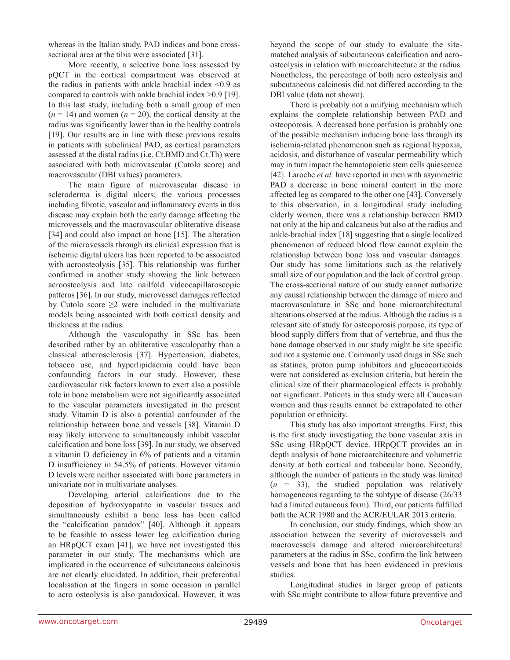whereas in the Italian study, PAD indices and bone crosssectional area at the tibia were associated [31].

More recently, a selective bone loss assessed by pQCT in the cortical compartment was observed at the radius in patients with ankle brachial index  $\leq 0.9$  as compared to controls with ankle brachial index >0.9 [19]. In this last study, including both a small group of men  $(n = 14)$  and women  $(n = 20)$ , the cortical density at the radius was significantly lower than in the healthy controls [19]. Our results are in line with these previous results in patients with subclinical PAD, as cortical parameters assessed at the distal radius (i.e. Ct.BMD and Ct.Th) were associated with both microvascular (Cutolo score) and macrovascular (DBI values) parameters.

The main figure of microvascular disease in scleroderma is digital ulcers; the various processes including fibrotic, vascular and inflammatory events in this disease may explain both the early damage affecting the microvessels and the macrovascular obliterative disease [34] and could also impact on bone [15]. The alteration of the microvessels through its clinical expression that is ischemic digital ulcers has been reported to be associated with acroosteolysis [35]. This relationship was further confirmed in another study showing the link between acroosteolysis and late nailfold videocapillaroscopic patterns [36]. In our study, microvessel damages reflected by Cutolo score  $\geq 2$  were included in the multivariate models being associated with both cortical density and thickness at the radius.

Although the vasculopathy in SSc has been described rather by an obliterative vasculopathy than a classical atherosclerosis [37]. Hypertension, diabetes, tobacco use, and hyperlipidaemia could have been confounding factors in our study. However, these cardiovascular risk factors known to exert also a possible role in bone metabolism were not significantly associated to the vascular parameters investigated in the present study. Vitamin D is also a potential confounder of the relationship between bone and vessels [38]. Vitamin D may likely intervene to simultaneously inhibit vascular calcification and bone loss [39]. In our study, we observed a vitamin D deficiency in 6% of patients and a vitamin D insufficiency in 54.5% of patients. However vitamin D levels were neither associated with bone parameters in univariate nor in multivariate analyses.

Developing arterial calcifications due to the deposition of hydroxyapatite in vascular tissues and simultaneously exhibit a bone loss has been called the "calcification paradox" [40]. Although it appears to be feasible to assess lower leg calcification during an HRpQCT exam [41], we have not investigated this parameter in our study. The mechanisms which are implicated in the occurrence of subcutaneous calcinosis are not clearly elucidated. In addition, their preferential localisation at the fingers in some occasion in parallel to acro osteolysis is also paradoxical. However, it was beyond the scope of our study to evaluate the sitematched analysis of subcutaneous calcification and acroosteolysis in relation with microarchitecture at the radius. Nonetheless, the percentage of both acro osteolysis and subcutaneous calcinosis did not differed according to the DBI value (data not shown).

There is probably not a unifying mechanism which explains the complete relationship between PAD and osteoporosis. A decreased bone perfusion is probably one of the possible mechanism inducing bone loss through its ischemia-related phenomenon such as regional hypoxia, acidosis, and disturbance of vascular permeability which may in turn impact the hematopoietic stem cells quiescence [42]. Laroche *et al.* have reported in men with asymmetric PAD a decrease in bone mineral content in the more affected leg as compared to the other one [43]. Conversely to this observation, in a longitudinal study including elderly women, there was a relationship between BMD not only at the hip and calcaneus but also at the radius and ankle-brachial index [18] suggesting that a single localized phenomenon of reduced blood flow cannot explain the relationship between bone loss and vascular damages. Our study has some limitations such as the relatively small size of our population and the lack of control group. The cross-sectional nature of our study cannot authorize any causal relationship between the damage of micro and macrovasculature in SSc and bone microarchitectural alterations observed at the radius. Although the radius is a relevant site of study for osteoporosis purpose, its type of blood supply differs from that of vertebrae, and thus the bone damage observed in our study might be site specific and not a systemic one. Commonly used drugs in SSc such as statines, proton pump inhibitors and glucocorticoids were not considered as exclusion criteria, but herein the clinical size of their pharmacological effects is probably not significant. Patients in this study were all Caucasian women and thus results cannot be extrapolated to other population or ethnicity.

This study has also important strengths. First, this is the first study investigating the bone vascular axis in SSc using HRpQCT device. HRpQCT provides an in depth analysis of bone microarchitecture and volumetric density at both cortical and trabecular bone. Secondly, although the number of patients in the study was limited  $(n = 33)$ , the studied population was relatively homogeneous regarding to the subtype of disease (26/33 had a limited cutaneous form). Third, our patients fulfilled both the ACR 1980 and the ACR/EULAR 2013 criteria.

In conclusion, our study findings, which show an association between the severity of microvessels and macrovessels damage and altered microarchitectural parameters at the radius in SSc, confirm the link between vessels and bone that has been evidenced in previous studies.

Longitudinal studies in larger group of patients with SSc might contribute to allow future preventive and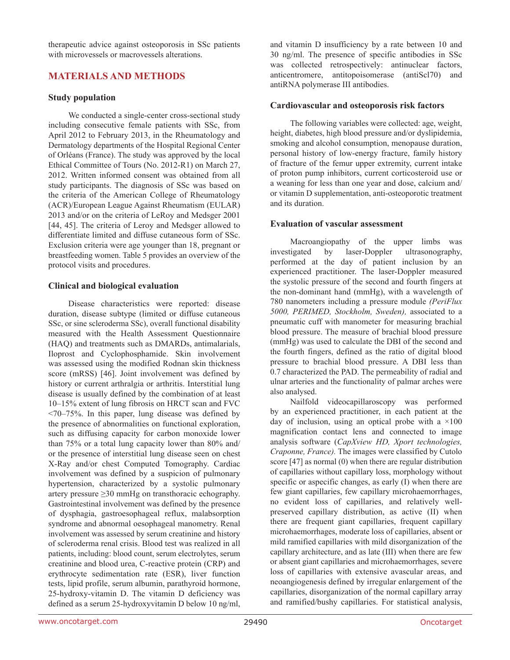therapeutic advice against osteoporosis in SSc patients with microvessels or macrovessels alterations.

# **MATERIALS AND METHODS**

## **Study population**

We conducted a single-center cross-sectional study including consecutive female patients with SSc, from April 2012 to February 2013, in the Rheumatology and Dermatology departments of the Hospital Regional Center of Orléans (France). The study was approved by the local Ethical Committee of Tours (No. 2012-R1) on March 27, 2012. Written informed consent was obtained from all study participants. The diagnosis of SSc was based on the criteria of the American College of Rheumatology (ACR)/European League Against Rheumatism (EULAR) 2013 and/or on the criteria of LeRoy and Medsger 2001 [44, 45]. The criteria of Leroy and Medsger allowed to differentiate limited and diffuse cutaneous form of SSc. Exclusion criteria were age younger than 18, pregnant or breastfeeding women. Table 5 provides an overview of the protocol visits and procedures.

## **Clinical and biological evaluation**

Disease characteristics were reported: disease duration, disease subtype (limited or diffuse cutaneous SSc, or sine scleroderma SSc), overall functional disability measured with the Health Assessment Questionnaire (HAQ) and treatments such as DMARDs, antimalarials, Iloprost and Cyclophosphamide. Skin involvement was assessed using the modified Rodnan skin thickness score (mRSS) [46]. Joint involvement was defined by history or current arthralgia or arthritis. Interstitial lung disease is usually defined by the combination of at least 10–15% extent of lung fibrosis on HRCT scan and FVC  $\langle 70-75\% \rangle$ . In this paper, lung disease was defined by the presence of abnormalities on functional exploration, such as diffusing capacity for carbon monoxide lower than 75% or a total lung capacity lower than 80% and/ or the presence of interstitial lung disease seen on chest X-Ray and/or chest Computed Tomography. Cardiac involvement was defined by a suspicion of pulmonary hypertension, characterized by a systolic pulmonary artery pressure ≥30 mmHg on transthoracic echography. Gastrointestinal involvement was defined by the presence of dysphagia, gastroesophageal reflux, malabsorption syndrome and abnormal oesophageal manometry. Renal involvement was assessed by serum creatinine and history of scleroderma renal crisis. Blood test was realized in all patients, including: blood count, serum electrolytes, serum creatinine and blood urea, C-reactive protein (CRP) and erythrocyte sedimentation rate (ESR), liver function tests, lipid profile, serum albumin, parathyroid hormone, 25-hydroxy-vitamin D. The vitamin D deficiency was defined as a serum 25-hydroxyvitamin D below 10 ng/ml,

and vitamin D insufficiency by a rate between 10 and 30 ng/ml. The presence of specific antibodies in SSc was collected retrospectively: antinuclear factors, anticentromere, antitopoisomerase (antiScl70) and antiRNA polymerase III antibodies.

## **Cardiovascular and osteoporosis risk factors**

The following variables were collected: age, weight, height, diabetes, high blood pressure and/or dyslipidemia, smoking and alcohol consumption, menopause duration, personal history of low-energy fracture, family history of fracture of the femur upper extremity, current intake of proton pump inhibitors, current corticosteroid use or a weaning for less than one year and dose, calcium and/ or vitamin D supplementation, anti-osteoporotic treatment and its duration.

## **Evaluation of vascular assessment**

Macroangiopathy of the upper limbs was investigated by laser-Doppler ultrasonography, performed at the day of patient inclusion by an experienced practitioner. The laser-Doppler measured the systolic pressure of the second and fourth fingers at the non-dominant hand (mmHg), with a wavelength of 780 nanometers including a pressure module *(PeriFlux 5000, PERIMED, Stockholm, Sweden),* associated to a pneumatic cuff with manometer for measuring brachial blood pressure. The measure of brachial blood pressure (mmHg) was used to calculate the DBI of the second and the fourth fingers, defined as the ratio of digital blood pressure to brachial blood pressure. A DBI less than 0.7 characterized the PAD. The permeability of radial and ulnar arteries and the functionality of palmar arches were also analysed.

Nailfold videocapillaroscopy was performed by an experienced practitioner, in each patient at the day of inclusion, using an optical probe with a  $\times 100$ magnification contact lens and connected to image analysis software (*CapXview HD, Xport technologies, Craponne, France).* The images were classified by Cutolo score [47] as normal (0) when there are regular distribution of capillaries without capillary loss, morphology without specific or aspecific changes, as early (I) when there are few giant capillaries, few capillary microhaemorrhages, no evident loss of capillaries, and relatively wellpreserved capillary distribution, as active (II) when there are frequent giant capillaries, frequent capillary microhaemorrhages, moderate loss of capillaries, absent or mild ramified capillaries with mild disorganization of the capillary architecture, and as late (III) when there are few or absent giant capillaries and microhaemorrhages, severe loss of capillaries with extensive avascular areas, and neoangiogenesis defined by irregular enlargement of the capillaries, disorganization of the normal capillary array and ramified/bushy capillaries. For statistical analysis,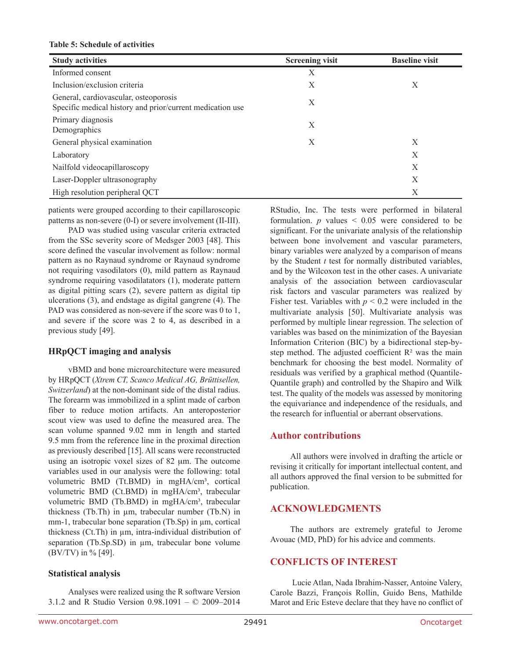#### **Table 5: Schedule of activities**

| <b>Study activities</b>                                                                            | <b>Screening visit</b> | <b>Baseline visit</b> |
|----------------------------------------------------------------------------------------------------|------------------------|-----------------------|
| Informed consent                                                                                   | X                      |                       |
| Inclusion/exclusion criteria                                                                       | X                      | X                     |
| General, cardiovascular, osteoporosis<br>Specific medical history and prior/current medication use | X                      |                       |
| Primary diagnosis<br>Demographics                                                                  | X                      |                       |
| General physical examination                                                                       | X                      | Χ                     |
| Laboratory                                                                                         |                        | X                     |
| Nailfold videocapillaroscopy                                                                       |                        | X                     |
| Laser-Doppler ultrasonography                                                                      |                        | X                     |
| High resolution peripheral QCT                                                                     |                        | Χ                     |

patients were grouped according to their capillaroscopic patterns as non-severe (0-I) or severe involvement (II-III).

PAD was studied using vascular criteria extracted from the SSc severity score of Medsger 2003 [48]. This score defined the vascular involvement as follow: normal pattern as no Raynaud syndrome or Raynaud syndrome not requiring vasodilators (0), mild pattern as Raynaud syndrome requiring vasodilatators (1), moderate pattern as digital pitting scars (2), severe pattern as digital tip ulcerations (3), and endstage as digital gangrene (4). The PAD was considered as non-severe if the score was 0 to 1, and severe if the score was 2 to 4, as described in a previous study [49].

#### **HRpQCT imaging and analysis**

vBMD and bone microarchitecture were measured by HRpQCT (*Xtrem CT, Scanco Medical AG, Brüttisellen, Switzerland*) at the non-dominant side of the distal radius. The forearm was immobilized in a splint made of carbon fiber to reduce motion artifacts. An anteroposterior scout view was used to define the measured area. The scan volume spanned 9.02 mm in length and started 9.5 mm from the reference line in the proximal direction as previously described [15]. All scans were reconstructed using an isotropic voxel sizes of 82 µm. The outcome variables used in our analysis were the following: total volumetric BMD (Tt.BMD) in mgHA/cm<sup>3</sup>, cortical volumetric BMD (Ct.BMD) in mgHA/cm<sup>3</sup>, trabecular volumetric BMD (Tb.BMD) in mgHA/cm<sup>3</sup>, trabecular thickness (Tb.Th) in µm, trabecular number (Tb.N) in mm-1, trabecular bone separation (Tb.Sp) in  $\mu$ m, cortical thickness (Ct.Th) in µm, intra-individual distribution of separation (Tb.Sp.SD) in um, trabecular bone volume (BV/TV) in % [49].

#### **Statistical analysis**

Analyses were realized using the R software Version 3.1.2 and R Studio Version 0.98.1091 – © 2009–2014 RStudio, Inc. The tests were performed in bilateral formulation.  $p$  values  $\leq 0.05$  were considered to be significant. For the univariate analysis of the relationship between bone involvement and vascular parameters, binary variables were analyzed by a comparison of means by the Student *t* test for normally distributed variables, and by the Wilcoxon test in the other cases. A univariate analysis of the association between cardiovascular risk factors and vascular parameters was realized by Fisher test. Variables with  $p < 0.2$  were included in the multivariate analysis [50]. Multivariate analysis was performed by multiple linear regression. The selection of variables was based on the minimization of the Bayesian Information Criterion (BIC) by a bidirectional step-bystep method. The adjusted coefficient  $\mathbb{R}^2$  was the main benchmark for choosing the best model. Normality of residuals was verified by a graphical method (Quantile-Quantile graph) and controlled by the Shapiro and Wilk test. The quality of the models was assessed by monitoring the equivariance and independence of the residuals, and the research for influential or aberrant observations.

## **Author contributions**

All authors were involved in drafting the article or revising it critically for important intellectual content, and all authors approved the final version to be submitted for publication.

## **ACKNOWLEDGMENTS**

The authors are extremely grateful to Jerome Avouac (MD, PhD) for his advice and comments.

## **CONFLICTS OF INTEREST**

Lucie Atlan, Nada Ibrahim-Nasser, Antoine Valery, Carole Bazzi, François Rollin, Guido Bens, Mathilde Marot and Eric Esteve declare that they have no conflict of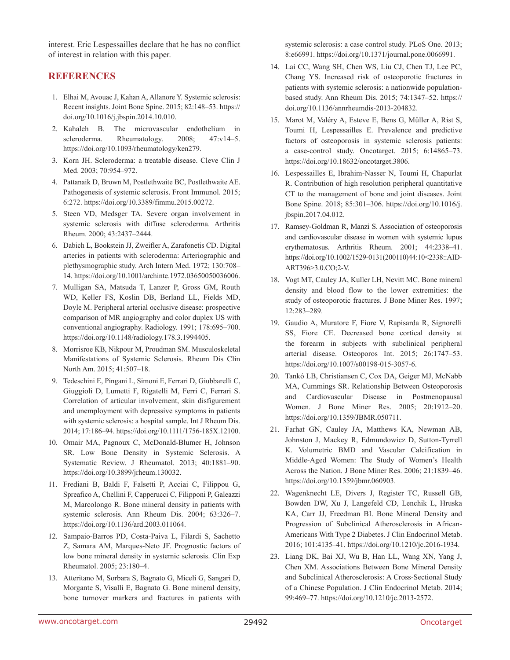interest. Eric Lespessailles declare that he has no conflict of interest in relation with this paper.

# **REFERENCES**

- 1. Elhai M, Avouac J, Kahan A, Allanore Y. Systemic sclerosis: Recent insights. Joint Bone Spine. 2015; 82:148–53. https:// doi.org/10.1016/j.jbspin.2014.10.010.
- 2. Kahaleh B. The microvascular endothelium in scleroderma. Rheumatology. 2008; 47:v14–5. https://doi.org/10.1093/rheumatology/ken279.
- 3. Korn JH. Scleroderma: a treatable disease. Cleve Clin J Med. 2003; 70:954–972.
- 4. Pattanaik D, Brown M, Postlethwaite BC, Postlethwaite AE. Pathogenesis of systemic sclerosis. Front Immunol. 2015; 6:272. https://doi.org/10.3389/fimmu.2015.00272.
- 5. Steen VD, Medsger TA. Severe organ involvement in systemic sclerosis with diffuse scleroderma. Arthritis Rheum. 2000; 43:2437–2444.
- 6. Dabich L, Bookstein JJ, Zweifler A, Zarafonetis CD. Digital arteries in patients with scleroderma: Arteriographic and plethysmographic study. Arch Intern Med. 1972; 130:708– 14. https://doi.org/10.1001/archinte.1972.03650050036006.
- 7. Mulligan SA, Matsuda T, Lanzer P, Gross GM, Routh WD, Keller FS, Koslin DB, Berland LL, Fields MD, Doyle M. Peripheral arterial occlusive disease: prospective comparison of MR angiography and color duplex US with conventional angiography. Radiology. 1991; 178:695–700. https://doi.org/10.1148/radiology.178.3.1994405.
- 8. Morrisroe KB, Nikpour M, Proudman SM. Musculoskeletal Manifestations of Systemic Sclerosis. Rheum Dis Clin North Am. 2015; 41:507–18.
- 9. Tedeschini E, Pingani L, Simoni E, Ferrari D, Giubbarelli C, Giuggioli D, Lumetti F, Rigatelli M, Ferri C, Ferrari S. Correlation of articular involvement, skin disfigurement and unemployment with depressive symptoms in patients with systemic sclerosis: a hospital sample. Int J Rheum Dis. 2014; 17:186–94. https://doi.org/10.1111/1756-185X.12100.
- 10. Omair MA, Pagnoux C, McDonald-Blumer H, Johnson SR. Low Bone Density in Systemic Sclerosis. A Systematic Review. J Rheumatol. 2013; 40:1881–90. https://doi.org/10.3899/jrheum.130032.
- 11. Frediani B, Baldi F, Falsetti P, Acciai C, Filippou G, Spreafico A, Chellini F, Capperucci C, Filipponi P, Galeazzi M, Marcolongo R. Bone mineral density in patients with systemic sclerosis. Ann Rheum Dis. 2004; 63:326–7. https://doi.org/10.1136/ard.2003.011064.
- 12. Sampaio-Barros PD, Costa-Paiva L, Filardi S, Sachetto Z, Samara AM, Marques-Neto JF. Prognostic factors of low bone mineral density in systemic sclerosis. Clin Exp Rheumatol. 2005; 23:180–4.
- 13. Atteritano M, Sorbara S, Bagnato G, Miceli G, Sangari D, Morgante S, Visalli E, Bagnato G. Bone mineral density, bone turnover markers and fractures in patients with

systemic sclerosis: a case control study. PLoS One. 2013; 8:e66991. https://doi.org/10.1371/journal.pone.0066991.

- 14. Lai CC, Wang SH, Chen WS, Liu CJ, Chen TJ, Lee PC, Chang YS. Increased risk of osteoporotic fractures in patients with systemic sclerosis: a nationwide populationbased study. Ann Rheum Dis. 2015; 74:1347–52. https:// doi.org/10.1136/annrheumdis-2013-204832.
- 15. Marot M, Valéry A, Esteve E, Bens G, Müller A, Rist S, Toumi H, Lespessailles E. Prevalence and predictive factors of osteoporosis in systemic sclerosis patients: a case-control study. Oncotarget. 2015; 6:14865–73. https://doi.org/10.18632/oncotarget.3806.
- 16. Lespessailles E, Ibrahim-Nasser N, Toumi H, Chapurlat R. Contribution of high resolution peripheral quantitative CT to the management of bone and joint diseases. Joint Bone Spine. 2018; 85:301–306. https://doi.org/10.1016/j. jbspin.2017.04.012.
- 17. Ramsey-Goldman R, Manzi S. Association of osteoporosis and cardiovascular disease in women with systemic lupus erythematosus. Arthritis Rheum. 2001; 44:2338–41. https://doi.org/10.1002/1529-0131(200110)44:10<2338::AID-ART396>3.0.CO;2-V.
- 18. Vogt MT, Cauley JA, Kuller LH, Nevitt MC. Bone mineral density and blood flow to the lower extremities: the study of osteoporotic fractures. J Bone Miner Res. 1997; 12:283–289.
- 19. Gaudio A, Muratore F, Fiore V, Rapisarda R, Signorelli SS, Fiore CE. Decreased bone cortical density at the forearm in subjects with subclinical peripheral arterial disease. Osteoporos Int. 2015; 26:1747–53. https://doi.org/10.1007/s00198-015-3057-6.
- 20. Tankó LB, Christiansen C, Cox DA, Geiger MJ, McNabb MA, Cummings SR. Relationship Between Osteoporosis and Cardiovascular Disease in Postmenopausal Women. J Bone Miner Res. 2005; 20:1912–20. https://doi.org/10.1359/JBMR.050711.
- 21. Farhat GN, Cauley JA, Matthews KA, Newman AB, Johnston J, Mackey R, Edmundowicz D, Sutton-Tyrrell K. Volumetric BMD and Vascular Calcification in Middle-Aged Women: The Study of Women's Health Across the Nation. J Bone Miner Res. 2006; 21:1839–46. https://doi.org/10.1359/jbmr.060903.
- 22. Wagenknecht LE, Divers J, Register TC, Russell GB, Bowden DW, Xu J, Langefeld CD, Lenchik L, Hruska KA, Carr JJ, Freedman BI. Bone Mineral Density and Progression of Subclinical Atherosclerosis in African-Americans With Type 2 Diabetes. J Clin Endocrinol Metab. 2016; 101:4135–41. https://doi.org/10.1210/jc.2016-1934.
- 23. Liang DK, Bai XJ, Wu B, Han LL, Wang XN, Yang J, Chen XM. Associations Between Bone Mineral Density and Subclinical Atherosclerosis: A Cross-Sectional Study of a Chinese Population. J Clin Endocrinol Metab. 2014; 99:469–77. https://doi.org/10.1210/jc.2013-2572.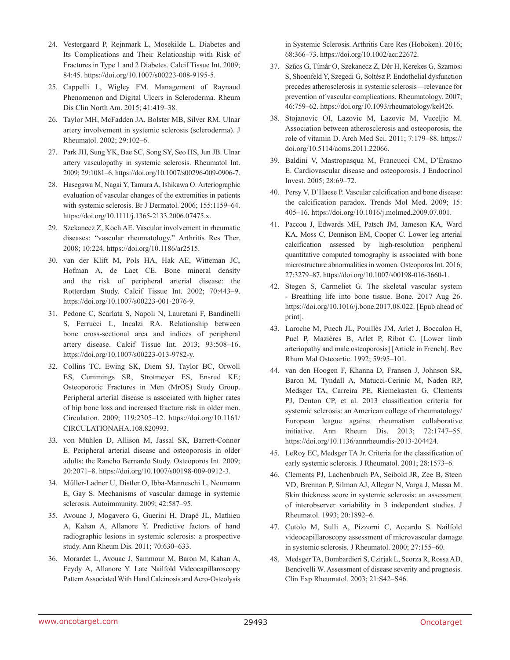- 24. Vestergaard P, Rejnmark L, Mosekilde L. Diabetes and Its Complications and Their Relationship with Risk of Fractures in Type 1 and 2 Diabetes. Calcif Tissue Int. 2009; 84:45. https://doi.org/10.1007/s00223-008-9195-5.
- 25. Cappelli L, Wigley FM. Management of Raynaud Phenomenon and Digital Ulcers in Scleroderma. Rheum Dis Clin North Am. 2015; 41:419–38.
- 26. Taylor MH, McFadden JA, Bolster MB, Silver RM. Ulnar artery involvement in systemic sclerosis (scleroderma). J Rheumatol. 2002; 29:102–6.
- 27. Park JH, Sung YK, Bae SC, Song SY, Seo HS, Jun JB. Ulnar artery vasculopathy in systemic sclerosis. Rheumatol Int. 2009; 29:1081–6. https://doi.org/10.1007/s00296-009-0906-7.
- 28. Hasegawa M, Nagai Y, Tamura A, Ishikawa O. Arteriographic evaluation of vascular changes of the extremities in patients with systemic sclerosis. Br J Dermatol. 2006; 155:1159–64. https://doi.org/10.1111/j.1365-2133.2006.07475.x.
- 29. Szekanecz Z, Koch AE. Vascular involvement in rheumatic diseases: "vascular rheumatology." Arthritis Res Ther. 2008; 10:224. https://doi.org/10.1186/ar2515.
- 30. van der Klift M, Pols HA, Hak AE, Witteman JC, Hofman A, de Laet CE. Bone mineral density and the risk of peripheral arterial disease: the Rotterdam Study. Calcif Tissue Int. 2002; 70:443–9. https://doi.org/10.1007/s00223-001-2076-9.
- 31. Pedone C, Scarlata S, Napoli N, Lauretani F, Bandinelli S, Ferrucci L, Incalzi RA. Relationship between bone cross-sectional area and indices of peripheral artery disease. Calcif Tissue Int. 2013; 93:508–16. https://doi.org/10.1007/s00223-013-9782-y.
- 32. Collins TC, Ewing SK, Diem SJ, Taylor BC, Orwoll ES, Cummings SR, Strotmeyer ES, Ensrud KE; Osteoporotic Fractures in Men (MrOS) Study Group. Peripheral arterial disease is associated with higher rates of hip bone loss and increased fracture risk in older men. Circulation. 2009; 119:2305–12. https://doi.org/10.1161/ CIRCULATIONAHA.108.820993.
- 33. von Mühlen D, Allison M, Jassal SK, Barrett-Connor E. Peripheral arterial disease and osteoporosis in older adults: the Rancho Bernardo Study. Osteoporos Int. 2009; 20:2071–8. https://doi.org/10.1007/s00198-009-0912-3.
- 34. Müller-Ladner U, Distler O, Ibba-Manneschi L, Neumann E, Gay S. Mechanisms of vascular damage in systemic sclerosis. Autoimmunity. 2009; 42:587–95.
- 35. Avouac J, Mogavero G, Guerini H, Drapé JL, Mathieu A, Kahan A, Allanore Y. Predictive factors of hand radiographic lesions in systemic sclerosis: a prospective study. Ann Rheum Dis. 2011; 70:630–633.
- 36. Morardet L, Avouac J, Sammour M, Baron M, Kahan A, Feydy A, Allanore Y. Late Nailfold Videocapillaroscopy Pattern Associated With Hand Calcinosis and Acro-Osteolysis

in Systemic Sclerosis. Arthritis Care Res (Hoboken). 2016; 68:366–73. https://doi.org/10.1002/acr.22672.

- 37. Szűcs G, Tímár O, Szekanecz Z, Dér H, Kerekes G, Szamosi S, Shoenfeld Y, Szegedi G, Soltész P. Endothelial dysfunction precedes atherosclerosis in systemic sclerosis—relevance for prevention of vascular complications. Rheumatology. 2007; 46:759–62. https://doi.org/10.1093/rheumatology/kel426.
- 38. Stojanovic OI, Lazovic M, Lazovic M, Vuceljic M. Association between atherosclerosis and osteoporosis, the role of vitamin D. Arch Med Sci. 2011; 7:179–88. https:// doi.org/10.5114/aoms.2011.22066.
- 39. Baldini V, Mastropasqua M, Francucci CM, D'Erasmo E. Cardiovascular disease and osteoporosis. J Endocrinol Invest. 2005; 28:69–72.
- 40. Persy V, D'Haese P. Vascular calcification and bone disease: the calcification paradox. Trends Mol Med. 2009; 15: 405–16. https://doi.org/10.1016/j.molmed.2009.07.001.
- 41. Paccou J, Edwards MH, Patsch JM, Jameson KA, Ward KA, Moss C, Dennison EM, Cooper C. Lower leg arterial calcification assessed by high-resolution peripheral quantitative computed tomography is associated with bone microstructure abnormalities in women. Osteoporos Int. 2016; 27:3279–87. https://doi.org/10.1007/s00198-016-3660-1.
- 42. Stegen S, Carmeliet G. The skeletal vascular system - Breathing life into bone tissue. Bone. 2017 Aug 26. https://doi.org/10.1016/j.bone.2017.08.022. [Epub ahead of print].
- 43. Laroche M, Puech JL, Pouillès JM, Arlet J, Boccalon H, Puel P, Mazières B, Arlet P, Ribot C. [Lower limb arteriopathy and male osteoporosis] [Article in French]. Rev Rhum Mal Osteoartic. 1992; 59:95–101.
- 44. van den Hoogen F, Khanna D, Fransen J, Johnson SR, Baron M, Tyndall A, Matucci-Cerinic M, Naden RP, Medsger TA, Carreira PE, Riemekasten G, Clements PJ, Denton CP, et al. 2013 classification criteria for systemic sclerosis: an American college of rheumatology/ European league against rheumatism collaborative initiative. Ann Rheum Dis. 2013; 72:1747–55. https://doi.org/10.1136/annrheumdis-2013-204424.
- 45. LeRoy EC, Medsger TA Jr. Criteria for the classification of early systemic sclerosis. J Rheumatol. 2001; 28:1573–6.
- 46. Clements PJ, Lachenbruch PA, Seibold JR, Zee B, Steen VD, Brennan P, Silman AJ, Allegar N, Varga J, Massa M. Skin thickness score in systemic sclerosis: an assessment of interobserver variability in 3 independent studies. J Rheumatol. 1993; 20:1892–6.
- 47. Cutolo M, Sulli A, Pizzorni C, Accardo S. Nailfold videocapillaroscopy assessment of microvascular damage in systemic sclerosis. J Rheumatol. 2000; 27:155–60.
- 48. Medsger TA, Bombardieri S, Czirjak L, Scorza R, Rossa AD, Bencivelli W. Assessment of disease severity and prognosis. Clin Exp Rheumatol. 2003; 21:S42–S46.